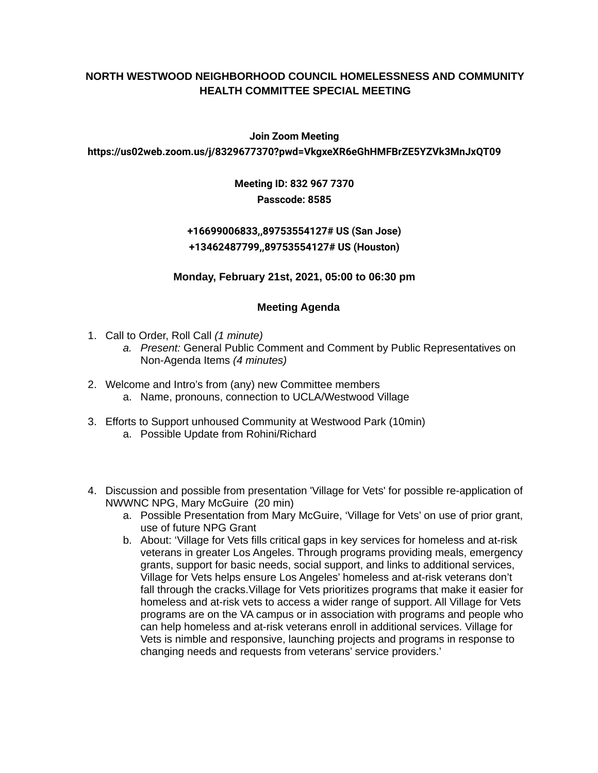### **NORTH WESTWOOD NEIGHBORHOOD COUNCIL HOMELESSNESS AND COMMUNITY HEALTH COMMITTEE SPECIAL MEETING**

#### **Join Zoom Meeting**

#### **https://us02web.zoom.us/j/8329677370?pwd=VkgxeXR6eGhHMFBrZE5YZVk3MnJxQT09**

## **Meeting ID: 832 967 7370 Passcode: 8585**

# **+16699006833,,89753554127# US (San Jose) +13462487799,,89753554127# US (Houston)**

### **Monday, February 21st, 2021, 05:00 to 06:30 pm**

### **Meeting Agenda**

- 1. Call to Order, Roll Call *(1 minute)*
	- *a. Present:* General Public Comment and Comment by Public Representatives on Non-Agenda Items *(4 minutes)*
- 2. Welcome and Intro's from (any) new Committee members a. Name, pronouns, connection to UCLA/Westwood Village
- 3. Efforts to Support unhoused Community at Westwood Park (10min) a. Possible Update from Rohini/Richard
- 4. Discussion and possible from presentation 'Village for Vets' for possible re-application of NWWNC NPG, Mary McGuire (20 min)
	- a. Possible Presentation from Mary McGuire, 'Village for Vets' on use of prior grant, use of future NPG Grant
	- b. About: 'Village for Vets fills critical gaps in key services for homeless and at-risk veterans in greater Los Angeles. Through programs providing meals, emergency grants, support for basic needs, social support, and links to additional services, Village for Vets helps ensure Los Angeles' homeless and at-risk veterans don't fall through the cracks.Village for Vets prioritizes programs that make it easier for homeless and at-risk vets to access a wider range of support. All Village for Vets programs are on the VA campus or in association with programs and people who can help homeless and at-risk veterans enroll in additional services. Village for Vets is nimble and responsive, launching projects and programs in response to changing needs and requests from veterans' service providers.'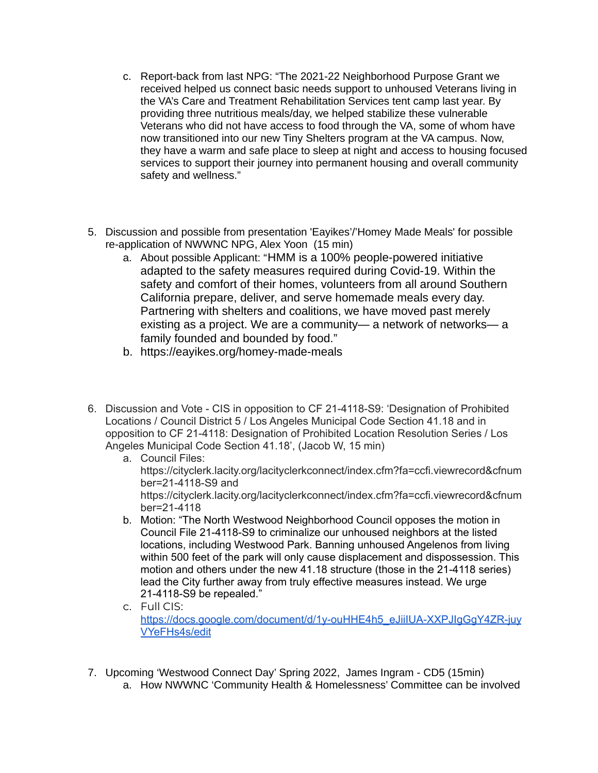- c. Report-back from last NPG: "The 2021-22 Neighborhood Purpose Grant we received helped us connect basic needs support to unhoused Veterans living in the VA's Care and Treatment Rehabilitation Services tent camp last year. By providing three nutritious meals/day, we helped stabilize these vulnerable Veterans who did not have access to food through the VA, some of whom have now transitioned into our new Tiny Shelters program at the VA campus. Now, they have a warm and safe place to sleep at night and access to housing focused services to support their journey into permanent housing and overall community safety and wellness."
- 5. Discussion and possible from presentation 'Eayikes'/'Homey Made Meals' for possible re-application of NWWNC NPG, Alex Yoon (15 min)
	- a. About possible Applicant: "HMM is a 100% people-powered initiative adapted to the safety measures required during Covid-19. Within the safety and comfort of their homes, volunteers from all around Southern California prepare, deliver, and serve homemade meals every day. Partnering with shelters and coalitions, we have moved past merely existing as a project. We are a community— a network of networks— a family founded and bounded by food."
	- b. https://eayikes.org/homey-made-meals
- 6. Discussion and Vote CIS in opposition to CF 21-4118-S9: 'Designation of Prohibited Locations / Council District 5 / Los Angeles Municipal Code Section 41.18 and in opposition to CF 21-4118: Designation of Prohibited Location Resolution Series / Los Angeles Municipal Code Section 41.18', (Jacob W, 15 min)
	- a. Council Files: https://cityclerk.lacity.org/lacityclerkconnect/index.cfm?fa=ccfi.viewrecord&cfnum ber=21-4118-S9 and https://cityclerk.lacity.org/lacityclerkconnect/index.cfm?fa=ccfi.viewrecord&cfnum ber=21-4118
	- b. Motion: "The North Westwood Neighborhood Council opposes the motion in Council File 21-4118-S9 to criminalize our unhoused neighbors at the listed locations, including Westwood Park. Banning unhoused Angelenos from living within 500 feet of the park will only cause displacement and dispossession. This motion and others under the new 41.18 structure (those in the 21-4118 series) lead the City further away from truly effective measures instead. We urge 21-4118-S9 be repealed."
	- c. Full CIS: [https://docs.google.com/document/d/1y-ouHHE4h5\\_eJiiIUA-XXPJIgGgY4ZR-juy](https://docs.google.com/document/d/1y-ouHHE4h5_eJiiIUA-XXPJIgGgY4ZR-juyVYeFHs4s/edit) [VYeFHs4s/edit](https://docs.google.com/document/d/1y-ouHHE4h5_eJiiIUA-XXPJIgGgY4ZR-juyVYeFHs4s/edit)
- 7. Upcoming 'Westwood Connect Day' Spring 2022, James Ingram CD5 (15min)
	- a. How NWWNC 'Community Health & Homelessness' Committee can be involved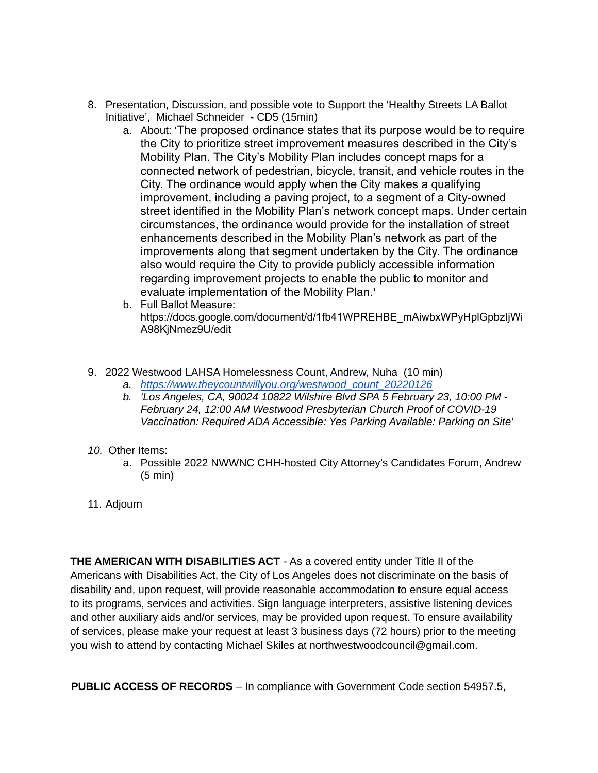- 8. Presentation, Discussion, and possible vote to Support the 'Healthy Streets LA Ballot Initiative', Michael Schneider - CD5 (15min)
	- a. About: 'The proposed ordinance states that its purpose would be to require the City to prioritize street improvement measures described in the City's Mobility Plan. The City's Mobility Plan includes concept maps for a connected network of pedestrian, bicycle, transit, and vehicle routes in the City. The ordinance would apply when the City makes a qualifying improvement, including a paving project, to a segment of a City-owned street identified in the Mobility Plan's network concept maps. Under certain circumstances, the ordinance would provide for the installation of street enhancements described in the Mobility Plan's network as part of the improvements along that segment undertaken by the City. The ordinance also would require the City to provide publicly accessible information regarding improvement projects to enable the public to monitor and evaluate implementation of the Mobility Plan.**'**
	- b. Full Ballot Measure: https://docs.google.com/document/d/1fb41WPREHBE\_mAiwbxWPyHplGpbzIjWi A98KjNmez9U/edit
- 9. 2022 Westwood LAHSA Homelessness Count, Andrew, Nuha (10 min)
	- *a. [https://www.theycountwillyou.org/westwood\\_count\\_20220126](https://www.theycountwillyou.org/westwood_count_20220126)*
	- *b. 'Los Angeles, CA, 90024 10822 Wilshire Blvd SPA 5 February 23, 10:00 PM - February 24, 12:00 AM Westwood Presbyterian Church Proof of COVID-19 Vaccination: Required ADA Accessible: Yes Parking Available: Parking on Site'*
- *10.* Other Items:
	- a. Possible 2022 NWWNC CHH-hosted City Attorney's Candidates Forum, Andrew (5 min)
- 11. Adjourn

**THE AMERICAN WITH DISABILITIES ACT** - As a covered entity under Title II of the Americans with Disabilities Act, the City of Los Angeles does not discriminate on the basis of disability and, upon request, will provide reasonable accommodation to ensure equal access to its programs, services and activities. Sign language interpreters, assistive listening devices and other auxiliary aids and/or services, may be provided upon request. To ensure availability of services, please make your request at least 3 business days (72 hours) prior to the meeting you wish to attend by contacting Michael Skiles at northwestwoodcouncil@gmail.com.

**PUBLIC ACCESS OF RECORDS** – In compliance with Government Code section 54957.5,